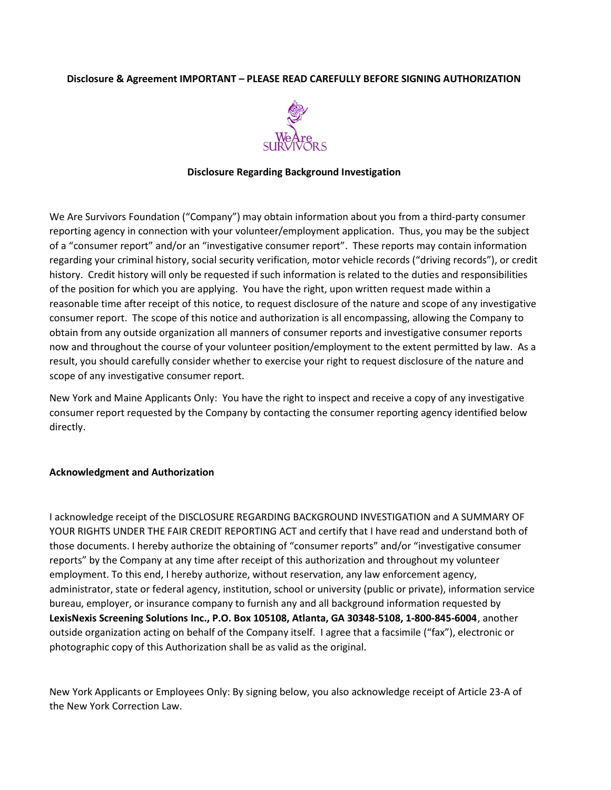## Disclosure & Agreement IMPORTANT – PLEASE READ CAREFULLY BEFORE SIGNING AUTHORIZATION



### Disclosure Regarding Background Investigation

We Are Survivors Foundation ("Company") may obtain information about you from a third-party consumer reporting agency in connection with your volunteer/employment application. Thus, you may be the subject of a "consumer report" and/or an "investigative consumer report". These reports may contain information regarding your criminal history, social security verification, motor vehicle records ("driving records"), or credit history. Credit history will only be requested if such information is related to the duties and responsibilities of the position for which you are applying. You have the right, upon written request made within a reasonable time after receipt of this notice, to request disclosure of the nature and scope of any investigative consumer report. The scope of this notice and authorization is all encompassing, allowing the Company to obtain from any outside organization all manners of consumer reports and investigative consumer reports now and throughout the course of your volunteer position/employment to the extent permitted by law. As a result, you should carefully consider whether to exercise your right to request disclosure of the nature and scope of any investigative consumer report.

New York and Maine Applicants Only: You have the right to inspect and receive a copy of any investigative consumer report requested by the Company by contacting the consumer reporting agency identified below directly.

## Acknowledgment and Authorization

I acknowledge receipt of the DISCLOSURE REGARDING BACKGROUND INVESTIGATION and A SUMMARY OF YOUR RIGHTS UNDER THE FAIR CREDIT REPORTING ACT and certify that I have read and understand both of those documents. I hereby authorize the obtaining of "consumer reports" and/or "investigative consumer reports" by the Company at any time after receipt of this authorization and throughout my volunteer employment. To this end, I hereby authorize, without reservation, any law enforcement agency, administrator, state or federal agency, institution, school or university (public or private), information service bureau, employer, or insurance company to furnish any and all background information requested by LexisNexis Screening Solutions Inc., P.O. Box 105108, Atlanta, GA 30348-5108, 1-800-845-6004, another outside organization acting on behalf of the Company itself. I agree that a facsimile ("fax"), electronic or photographic copy of this Authorization shall be as valid as the original.

New York Applicants or Employees Only: By signing below, you also acknowledge receipt of Article 23-A of the New York Correction Law.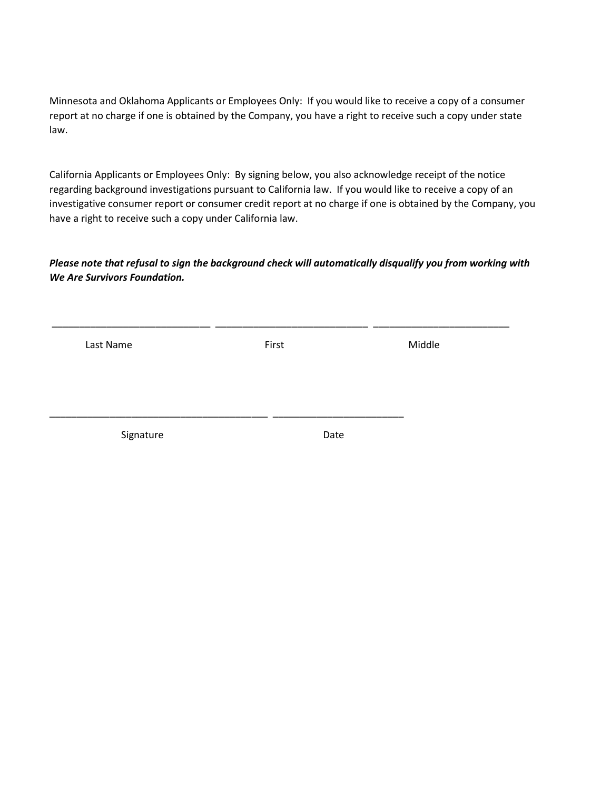Minnesota and Oklahoma Applicants or Employees Only: If you would like to receive a copy of a consumer report at no charge if one is obtained by the Company, you have a right to receive such a copy under state law.

California Applicants or Employees Only: By signing below, you also acknowledge receipt of the notice regarding background investigations pursuant to California law. If you would like to receive a copy of an investigative consumer report or consumer credit report at no charge if one is obtained by the Company, you have a right to receive such a copy under California law.

# Please note that refusal to sign the background check will automatically disqualify you from working with We Are Survivors Foundation.

| Last Name | First | Middle |  |
|-----------|-------|--------|--|
|           |       |        |  |
| Signature | Date  |        |  |